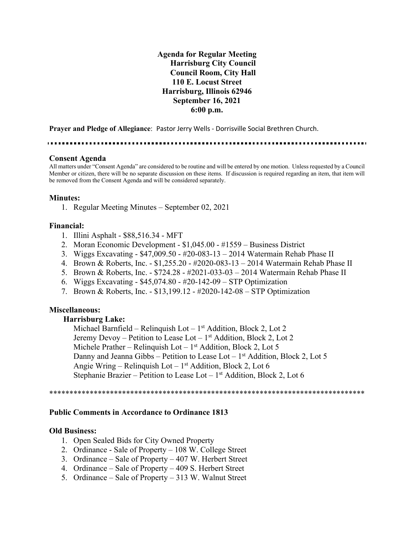**Agenda for Regular Meeting Harrisburg City Council Council Room, City Hall 110 E. Locust Street Harrisburg, Illinois 62946 September 16, 2021 6:00 p.m.**

**Prayer and Pledge of Allegiance**: Pastor Jerry Wells - Dorrisville Social Brethren Church.

#### **Consent Agenda**

All matters under "Consent Agenda" are considered to be routine and will be entered by one motion. Unless requested by a Council Member or citizen, there will be no separate discussion on these items. If discussion is required regarding an item, that item will be removed from the Consent Agenda and will be considered separately.

#### **Minutes:**

1. Regular Meeting Minutes – September 02, 2021

#### **Financial:**

- 1. Illini Asphalt \$88,516.34 MFT
- 2. Moran Economic Development \$1,045.00 #1559 Business District
- 3. Wiggs Excavating \$47,009.50 #20-083-13 2014 Watermain Rehab Phase II
- 4. Brown & Roberts, Inc. \$1,255.20 #2020-083-13 2014 Watermain Rehab Phase II
- 5. Brown & Roberts, Inc. \$724.28 #2021-033-03 2014 Watermain Rehab Phase II
- 6. Wiggs Excavating \$45,074.80 #20-142-09 STP Optimization
- 7. Brown & Roberts, Inc. \$13,199.12 #2020-142-08 STP Optimization

# **Miscellaneous:**

#### **Harrisburg Lake:**

Michael Barnfield – Relinquish Lot – 1st Addition, Block 2, Lot 2 Jeremy Devoy – Petition to Lease Lot –  $1<sup>st</sup>$  Addition, Block 2, Lot 2 Michele Prather – Relinquish Lot –  $1<sup>st</sup>$  Addition, Block 2, Lot 5 Danny and Jeanna Gibbs – Petition to Lease Lot –  $1<sup>st</sup>$  Addition, Block 2, Lot 5 Angie Wring – Relinquish Lot –  $1<sup>st</sup>$  Addition, Block 2, Lot 6 Stephanie Brazier – Petition to Lease Lot –  $1<sup>st</sup>$  Addition, Block 2, Lot 6

\*\*\*\*\*\*\*\*\*\*\*\*\*\*\*\*\*\*\*\*\*\*\*\*\*\*\*\*\*\*\*\*\*\*\*\*\*\*\*\*\*\*\*\*\*\*\*\*\*\*\*\*\*\*\*\*\*\*\*\*\*\*\*\*\*\*\*\*\*\*\*\*\*\*\*\*\*\*

#### **Public Comments in Accordance to Ordinance 1813**

#### **Old Business:**

- 1. Open Sealed Bids for City Owned Property
- 2. Ordinance Sale of Property 108 W. College Street
- 3. Ordinance Sale of Property 407 W. Herbert Street
- 4. Ordinance Sale of Property 409 S. Herbert Street
- 5. Ordinance Sale of Property 313 W. Walnut Street